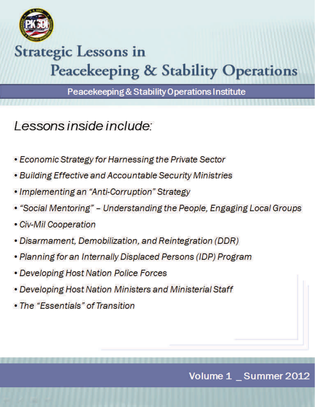

# **Strategic Lessons in Peacekeeping & Stability Operations**

Peacekeeping & Stability Operations Institute

Lessons inside include:

- Economic Strategy for Harnessing the Private Sector
- Building Effective and Accountable Security Ministries
- Implementing an "Anti-Corruption" Strategy
- "Social Mentoring" Understanding the People, Engaging Local Groups
- Civ-Mil Cooperation
- Disarmament, Demobilization, and Reintegration (DDR)
- Planning for an Internally Displaced Persons (IDP) Program
- Developing Host Nation Police Forces
- Developing Host Nation Ministers and Ministerial Staff
- The "Essentials" of Transition

Volume 1 \_ Summer 2012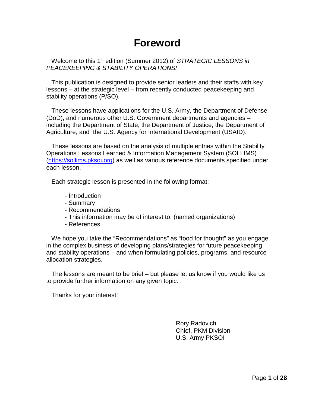### **Foreword**

Welcome to this 1<sup>st</sup> edition (Summer 2012) of *STRATEGIC LESSONS in PEACEKEEPING & STABILITY OPERATIONS!*

 This publication is designed to provide senior leaders and their staffs with key lessons – at the strategic level – from recently conducted peacekeeping and stability operations (P/SO).

 These lessons have applications for the U.S. Army, the Department of Defense (DoD), and numerous other U.S. Government departments and agencies – including the Department of State, the Department of Justice, the Department of Agriculture, and the U.S. Agency for International Development (USAID).

 These lessons are based on the analysis of multiple entries within the Stability Operations Lessons Learned & Information Management System (SOLLIMS) [\(https://sollims.pksoi.org\)](https://sollims.pksoi.org/) as well as various reference documents specified under each lesson.

Each strategic lesson is presented in the following format:

- Introduction
- Summary
- Recommendations
- This information may be of interest to: (named organizations)
- References

 We hope you take the "Recommendations" as "food for thought" as you engage in the complex business of developing plans/strategies for future peacekeeping and stability operations – and when formulating policies, programs, and resource allocation strategies.

 The lessons are meant to be brief – but please let us know if you would like us to provide further information on any given topic.

Thanks for your interest!

Rory Radovich Chief, PKM Division U.S. Army PKSOI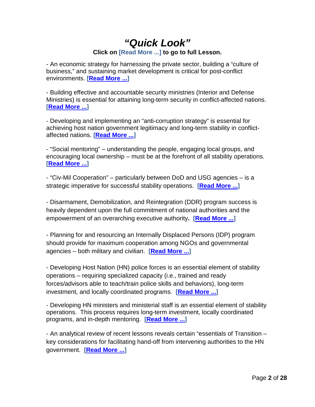### *"Quick Look"* **Click on [Read More ...] to go to full Lesson.**

- An economic strategy for harnessing the private sector, building a "culture of business," and sustaining market development is critical for post-conflict environments. **[\[Read More ...\]](#page-3-0)**

- Building effective and accountable security ministries (Interior and Defense Ministries) is essential for attaining long-term security in conflict-affected nations. **[\[Read More ...\]](#page-5-0)**

- Developing and implementing an "anti-corruption strategy" is essential for achieving host nation government legitimacy and long-term stability in conflictaffected nations. **[\[Read More ...\]](#page-7-0)**

- "Social mentoring" – understanding the people, engaging local groups, and encouraging local ownership – must be at the forefront of all stability operations. **[\[Read More ...\]](#page-9-0)**

- "Civ-Mil Cooperation" – particularly between DoD and USG agencies – is a strategic imperative for successful stability operations. **[\[Read More ...\]](#page-12-0)**

- Disarmament, Demobilization, and Reintegration (DDR) program success is heavily dependent upon the full commitment of national authorities and the empowerment of an overarching executive authority**. [\[Read More ...\]](#page-15-0)**

- Planning for and resourcing an Internally Displaced Persons (IDP) program should provide for maximum cooperation among NGOs and governmental agencies – both military and civilian. **[\[Read More ...\]](#page-17-0)**

- Developing Host Nation (HN) police forces is an essential element of stability operations – requiring specialized capacity (i.e., trained and ready forces/advisors able to teach/train police skills and behaviors), long-term investment, and locally coordinated programs. **[\[Read More ...\]](#page-20-0)**

- Developing HN ministers and ministerial staff is an essential element of stability operations. This process requires long-term investment, locally coordinated programs, and in-depth mentoring. **[\[Read More ...\]](#page-23-0)**

- An analytical review of recent lessons reveals certain "essentials of Transition – key considerations for facilitating hand-off from intervening authorities to the HN government. **[\[Read More ...\]](#page-26-0)**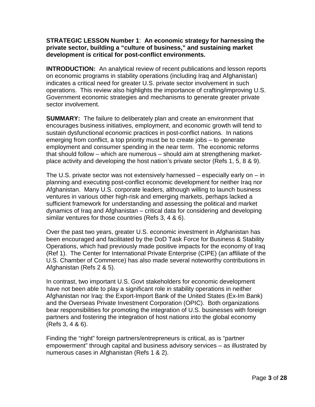#### <span id="page-3-0"></span>**STRATEGIC LESSON Number 1**: **An economic strategy for harnessing the private sector, building a "culture of business," and sustaining market development is critical for post-conflict environments.**

**INTRODUCTION:** An analytical review of recent publications and lesson reports on economic programs in stability operations (including Iraq and Afghanistan) indicates a critical need for greater U.S. private sector involvement in such operations. This review also highlights the importance of crafting/improving U.S. Government economic strategies and mechanisms to generate greater private sector involvement.

**SUMMARY:** The failure to deliberately plan and create an environment that encourages business initiatives, employment, and economic growth will tend to sustain dysfunctional economic practices in post-conflict nations. In nations emerging from conflict, a top priority must be to create jobs – to generate employment and consumer spending in the near term. The economic reforms that should follow – which are numerous – should aim at strengthening marketplace activity and developing the host nation's private sector (Refs 1, 5, 8 & 9).

The U.S. private sector was not extensively harnessed – especially early on – in planning and executing post-conflict economic development for neither Iraq nor Afghanistan. Many U.S. corporate leaders, although willing to launch business ventures in various other high-risk and emerging markets, perhaps lacked a sufficient framework for understanding and assessing the political and market dynamics of Iraq and Afghanistan – critical data for considering and developing similar ventures for those countries (Refs 3, 4 & 6).

Over the past two years, greater U.S. economic investment in Afghanistan has been encouraged and facilitated by the DoD Task Force for Business & Stability Operations, which had previously made positive impacts for the economy of Iraq (Ref 1). The Center for International Private Enterprise (CIPE) (an affiliate of the U.S. Chamber of Commerce) has also made several noteworthy contributions in Afghanistan (Refs 2 & 5).

In contrast, two important U.S. Govt stakeholders for economic development have not been able to play a significant role in stability operations in neither Afghanistan nor Iraq: the Export-Import Bank of the United States (Ex-Im Bank) and the Overseas Private Investment Corporation (OPIC). Both organizations bear responsibilities for promoting the integration of U.S. businesses with foreign partners and fostering the integration of host nations into the global economy (Refs 3, 4 & 6).

Finding the "right" foreign partners/entrepreneurs is critical, as is "partner empowerment" through capital and business advisory services – as illustrated by numerous cases in Afghanistan (Refs 1 & 2).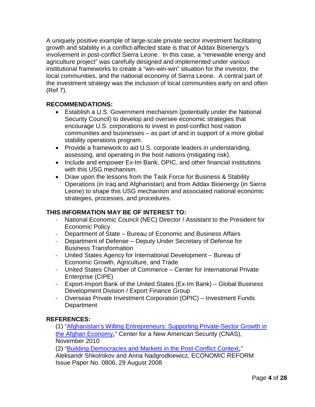A uniquely positive example of large-scale private sector investment facilitating growth and stability in a conflict-affected state is that of Addax Bioenergy's involvement in post-conflict Sierra Leone. In this case, a "renewable energy and agriculture project" was carefully designed and implemented under various institutional frameworks to create a "win-win-win" situation for the investor, the local communities, and the national economy of Sierra Leone. A central part of the investment strategy was the inclusion of local communities early on and often (Ref 7).

#### **RECOMMENDATIONS:**

- Establish a U.S. Government mechanism (potentially under the National Security Council) to develop and oversee economic strategies that encourage U.S. corporations to invest in post-conflict host nation communities and businesses – as part of and in support of a more global stability operations program.
- Provide a framework to aid U.S. corporate leaders in understanding, assessing, and operating in the host nations (mitigating risk).
- Include and empower Ex-Im Bank, OPIC, and other financial institutions with this USG mechanism.
- Draw upon the lessons from the Task Force for Business & Stability Operations (in Iraq and Afghanistan) and from Addax Bioenergy (in Sierra Leone) to shape this USG mechanism and associated national economic strategies, processes, and procedures.

#### **THIS INFORMATION MAY BE OF INTEREST TO:**

- National Economic Council (NEC) Director / Assistant to the President for Economic Policy
- Department of State Bureau of Economic and Business Affairs
- Department of Defense Deputy Under Secretary of Defense for Business Transformation
- United States Agency for International Development Bureau of Economic Growth, Agriculture, and Trade
- United States Chamber of Commerce Center for International Private Enterprise (CIPE)
- Export-Import Bank of the United States (Ex-Im Bank) Global Business Development Division / Export Finance Group
- Overseas Private Investment Corporation (OPIC) Investment Funds **Department**

#### **REFERENCES:**

(1) ["Afghanistan's Willing Entrepreneurs: Supporting Private-Sector Growth in](http://www.cnas.org/files/documents/publications/CNAS_Kauffman_Entrepreneurs_CusackMalmstrom.pdf)  [the Afghan Economy](http://www.cnas.org/files/documents/publications/CNAS_Kauffman_Entrepreneurs_CusackMalmstrom.pdf)," Center for a New American Security (CNAS), November 2010

(2) ["Building Democracies and Markets in the Post-Conflict Context](http://www.cipe.org/publications/papers/pdf/IP0806.pdf)," Aleksandr Shkolnikov and Anna Nadgrodkiewicz, ECONOMIC REFORM Issue Paper No. 0806, 29 August 2008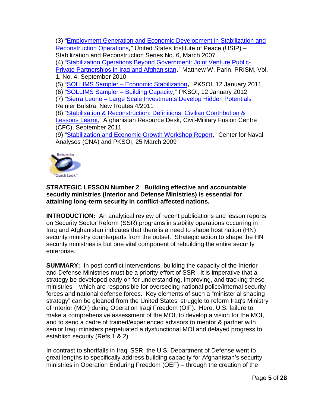(3) ["Employment Generation and Economic Development in Stabilization and](http://www.usip.org/files/resources/srs6.pdf)  [Reconstruction Operations](http://www.usip.org/files/resources/srs6.pdf)," United States Institute of Peace (USIP) – Stabilization and Reconstruction Series No. 6, March 2007 (4) ["Stabilization Operations Beyond Government: Joint Venture Public-](http://www.ndu.edu/press/lib/images/prism1-4/Prism_113-126_Parin.pdf)[Private Partnerships in Iraq and Afghanistan](http://www.ndu.edu/press/lib/images/prism1-4/Prism_113-126_Parin.pdf)," Matthew W. Parin, PRISM, Vol. 1, No. 4, September 2010 (5) "SOLLIMS Sampler – [Economic Stabilization](https://www.pksoi.org/document_repository/doc_lib/SOLLIMS%20Sampler%20vol%202%20issue%202%20_EconStab.pdf)," PKSOI, 12 January 2011 (6) ["SOLLIMS Sampler –](https://www.pksoi.org/document_repository/doc_lib/SOLLIMS_Sampler_Buiilding_Capacity_final_Jan12.pdf) Building Capacity," PKSOI, 12 January 2012 (7) "Sierra Leone – [Large Scale Investments Develop Hidden Potentials"](https://www.pksoi.org/document_repository/doc_lib/New_Routes_African_Soil_for_Sale_4_2011.pdf) Reinier Bulstra, New Routes 4/2011 (8) ["Stabilisation & Reconstruction: Definitions, Civilian Contribution &](https://www.pksoi.org/document_repository/doc_lib/CFC_RFI_Stabilisation_Lessons_Learnt_Sep2011.pdf)  [Lessons Learnt,](https://www.pksoi.org/document_repository/doc_lib/CFC_RFI_Stabilisation_Lessons_Learnt_Sep2011.pdf)" Afghanistan Resource Desk, Civil-Military Fusion Centre (CFC), September 2011 (9) ["Stabilization and Economic Growth Workshop Report](https://www.pksoi.org/document_repository/doc_lib/Stabilization_&_Economic_Growth_Workshop_Report_25_Mar_2009.pdf)," Center for Naval Analyses (CNA) and PKSOI, 25 March 2009 **Return to** 



#### <span id="page-5-0"></span>**STRATEGIC LESSON Number 2**: **Building effective and accountable security ministries (Interior and Defense Ministries) is essential for attaining long-term security in conflict-affected nations.**

**INTRODUCTION:** An analytical review of recent publications and lesson reports on Security Sector Reform (SSR) programs in stability operations occurring in Iraq and Afghanistan indicates that there is a need to shape host nation (HN) security ministry counterparts from the outset. Strategic action to shape the HN security ministries is but one vital component of rebuilding the entire security enterprise.

**SUMMARY:** In post-conflict interventions, building the capacity of the Interior and Defense Ministries must be a priority effort of SSR. It is imperative that a strategy be developed early on for understanding, improving, and tracking these ministries – which are responsible for overseeing national police/internal security forces and national defense forces. Key elements of such a "ministerial shaping strategy" can be gleaned from the United States' struggle to reform Iraq's Ministry of Interior (MOI) during Operation Iraqi Freedom (OIF). Here, U.S. failure to make a comprehensive assessment of the MOI, to develop a vision for the MOI, and to send a cadre of trained/experienced advisors to mentor & partner with senior Iraqi ministers perpetuated a dysfunctional MOI and delayed progress to establish security (Refs 1 & 2).

In contrast to shortfalls in Iraqi SSR, the U.S. Department of Defense went to great lengths to specifically address building capacity for Afghanistan's security ministries in Operation Enduring Freedom (OEF) – through the creation of the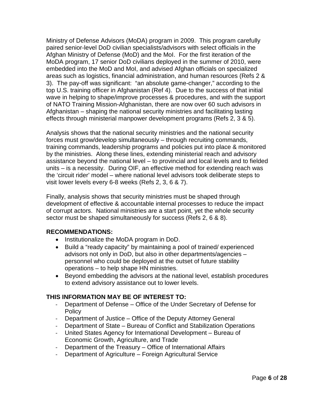Ministry of Defense Advisors (MoDA) program in 2009. This program carefully paired senior-level DoD civilian specialists/advisors with select officials in the Afghan Ministry of Defense (MoD) and the MoI. For the first iteration of the MoDA program, 17 senior DoD civilians deployed in the summer of 2010, were embedded into the MoD and MoI, and advised Afghan officials on specialized areas such as logistics, financial administration, and human resources (Refs 2 & 3). The pay-off was significant: "an absolute game-changer," according to the top U.S. training officer in Afghanistan (Ref 4). Due to the success of that initial wave in helping to shape/improve processes & procedures, and with the support of NATO Training Mission-Afghanistan, there are now over 60 such advisors in Afghanistan – shaping the national security ministries and facilitating lasting effects through ministerial manpower development programs (Refs 2, 3 & 5).

Analysis shows that the national security ministries and the national security forces must grow/develop simultaneously – through recruiting commands, training commands, leadership programs and policies put into place & monitored by the ministries. Along these lines, extending ministerial reach and advisory assistance beyond the national level – to provincial and local levels and to fielded units – is a necessity. During OIF, an effective method for extending reach was the 'circuit rider' model – where national level advisors took deliberate steps to visit lower levels every 6-8 weeks (Refs 2, 3, 6 & 7).

Finally, analysis shows that security ministries must be shaped through development of effective & accountable internal processes to reduce the impact of corrupt actors. National ministries are a start point, yet the whole security sector must be shaped simultaneously for success (Refs 2, 6 & 8).

#### **RECOMMENDATIONS:**

- Institutionalize the MoDA program in DoD.
- Build a "ready capacity" by maintaining a pool of trained/ experienced advisors not only in DoD, but also in other departments/agencies – personnel who could be deployed at the outset of future stability operations – to help shape HN ministries.
- Beyond embedding the advisors at the national level, establish procedures to extend advisory assistance out to lower levels.

#### **THIS INFORMATION MAY BE OF INTEREST TO:**

- Department of Defense Office of the Under Secretary of Defense for **Policy**
- Department of Justice Office of the Deputy Attorney General
- Department of State Bureau of Conflict and Stabilization Operations
- United States Agency for International Development Bureau of Economic Growth, Agriculture, and Trade
- Department of the Treasury Office of International Affairs
- Department of Agriculture Foreign Agricultural Service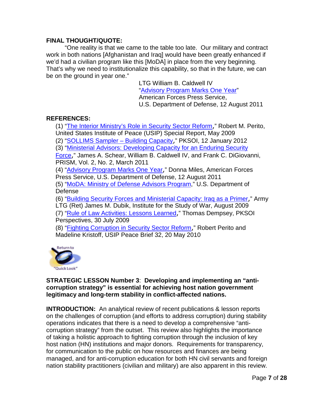#### **FINAL THOUGHT/QUOTE:**

"One reality is that we came to the table too late. Our military and contract work in both nations [Afghanistan and Iraq] would have been greatly enhanced if we'd had a civilian program like this [MoDA] in place from the very beginning. That's why we need to institutionalize this capability, so that in the future, we can be on the ground in year one."

> LTG William B. Caldwell IV ["Advisory Program Marks One Year"](http://www.defense.gov/news/newsarticle.aspx?id=65013) American Forces Press Service, U.S. Department of Defense, 12 August 2011

#### **REFERENCES:**

(1) ["The Interior Ministry's Role in Security Sector Reform](http://www.usip.org/publications/the-interior-ministrys-role-in-security-sector-reform)," Robert M. Perito, United States Institute of Peace (USIP) Special Report, May 2009

(2) "SOLLIMS Sampler - Building Capacity," PKSOI, 12 January 2012

(3) ["Ministerial Advisors: Developing Capacity for an Enduring Security](http://www.ndu.edu/press/lib/images/prism2-2/Prism_135-144_Schear-Caldwell-DiGiovanni.pdf) 

[Force](http://www.ndu.edu/press/lib/images/prism2-2/Prism_135-144_Schear-Caldwell-DiGiovanni.pdf)," James A. Schear, William B. Caldwell IV, and Frank C. DiGiovanni, PRISM, Vol. 2, No. 2, March 2011

(4) ["Advisory Program Marks One Year](http://www.defense.gov/news/newsarticle.aspx?id=65013)," Donna Miles, American Forces Press Service, U.S. Department of Defense, 12 August 2011

(5) ["MoDA: Ministry of Defense Advisors Program,](http://www.defense.gov/home/features/2011/0211_moda/)" U.S. Department of Defense

(6) ["Building Security Forces and Ministerial Capacity:](http://www.understandingwar.org/sites/default/files/BuildingSecurityForces.pdf) Iraq as a Primer," Army LTG (Ret) James M. Dubik, Institute for the Study of War, August 2009 (7) ["Rule of Law Activities: Lessons Learned](http://pksoi.army.mil/PKM/publications/perspective/perspectivereview.cfm?perspectiveID=2)," Thomas Dempsey, PKSOI Perspectives, 30 July 2009

(8) ["Fighting Corruption in Security Sector Reform](http://www.usip.org/files/resources/PB%2032%20Fighting%20Corruption%20in%20SSR.pdf)," Robert Perito and Madeline Kristoff, USIP Peace Brief 32, 20 May 2010



#### <span id="page-7-0"></span>**STRATEGIC LESSON Number 3**: **Developing and implementing an "anticorruption strategy" is essential for achieving host nation government legitimacy and long-term stability in conflict-affected nations.**

**INTRODUCTION:** An analytical review of recent publications & lesson reports on the challenges of corruption (and efforts to address corruption) during stability operations indicates that there is a need to develop a comprehensive "anticorruption strategy" from the outset. This review also highlights the importance of taking a holistic approach to fighting corruption through the inclusion of key host nation (HN) institutions and major donors. Requirements for transparency, for communication to the public on how resources and finances are being managed, and for anti-corruption education for both HN civil servants and foreign nation stability practitioners (civilian and military) are also apparent in this review.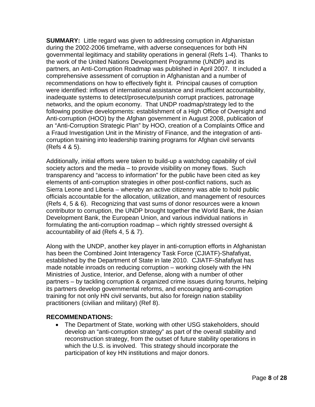**SUMMARY:** Little regard was given to addressing corruption in Afghanistan during the 2002-2006 timeframe, with adverse consequences for both HN governmental legitimacy and stability operations in general (Refs 1-4). Thanks to the work of the United Nations Development Programme (UNDP) and its partners, an Anti-Corruption Roadmap was published in April 2007. It included a comprehensive assessment of corruption in Afghanistan and a number of recommendations on how to effectively fight it. Principal causes of corruption were identified: inflows of international assistance and insufficient accountability, inadequate systems to detect/prosecute/punish corrupt practices, patronage networks, and the opium economy. That UNDP roadmap/strategy led to the following positive developments: establishment of a High Office of Oversight and Anti-corruption (HOO) by the Afghan government in August 2008, publication of an "Anti-Corruption Strategic Plan" by HOO, creation of a Complaints Office and a Fraud Investigation Unit in the Ministry of Finance, and the integration of anticorruption training into leadership training programs for Afghan civil servants (Refs 4 & 5).

Additionally, initial efforts were taken to build-up a watchdog capability of civil society actors and the media – to provide visibility on money flows. Such transparency and "access to information" for the public have been cited as key elements of anti-corruption strategies in other post-conflict nations, such as Sierra Leone and Liberia – whereby an active citizenry was able to hold public officials accountable for the allocation, utilization, and management of resources (Refs 4, 5 & 6). Recognizing that vast sums of donor resources were a known contributor to corruption, the UNDP brought together the World Bank, the Asian Development Bank, the European Union, and various individual nations in formulating the anti-corruption roadmap – which rightly stressed oversight & accountability of aid (Refs 4, 5 & 7).

Along with the UNDP, another key player in anti-corruption efforts in Afghanistan has been the Combined Joint Interagency Task Force (CJIATF)-Shafafiyat, established by the Department of State in late 2010. CJIATF-Shafafiyat has made notable inroads on reducing corruption – working closely with the HN Ministries of Justice, Interior, and Defense, along with a number of other partners – by tackling corruption & organized crime issues during forums, helping its partners develop governmental reforms, and encouraging anti-corruption training for not only HN civil servants, but also for foreign nation stability practitioners (civilian and military) (Ref 8).

#### **RECOMMENDATIONS:**

• The Department of State, working with other USG stakeholders, should develop an "anti-corruption strategy" as part of the overall stability and reconstruction strategy, from the outset of future stability operations in which the U.S. is involved. This strategy should incorporate the participation of key HN institutions and major donors.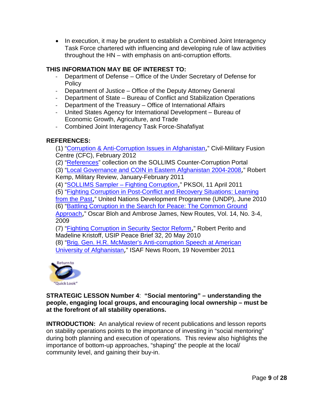• In execution, it may be prudent to establish a Combined Joint Interagency Task Force chartered with influencing and developing rule of law activities throughout the HN – with emphasis on anti-corruption efforts.

#### **THIS INFORMATION MAY BE OF INTEREST TO:**

- Department of Defense Office of the Under Secretary of Defense for **Policy**
- Department of Justice Office of the Deputy Attorney General
- Department of State Bureau of Conflict and Stabilization Operations
- Department of the Treasury Office of International Affairs
- United States Agency for International Development Bureau of Economic Growth, Agriculture, and Trade
- Combined Joint Interagency Task Force-Shafafiyat

#### **REFERENCES:**

(1) ["Corruption & Anti-Corruption Issues in Afghanistan](https://www.pksoi.org/document_repository/doc_lib/Civil_Military_Fusion_Centre_complete_volume-%20Corruption_&_Anti_Corruption_Issues_in_Afghanistan.pdf)," Civil-Military Fusion Centre (CFC), February 2012

(2) ["References"](https://www.pksoi.org/index.cfm?disp=doc_lib.cfm&pid=80&access=display) collection on the SOLLIMS Counter-Corruption Portal

(3) ["Local Governance and COIN in Eastern Afghanistan 2004-2008](http://usacac.army.mil/CAC2/MilitaryReview/Archives/English/MilitaryReview_20110228_art010.pdf)," Robert Kemp, Military Review, January-February 2011

(4) ["SOLLIMS Sampler –](https://www.pksoi.org/document_repository/doc_lib/SOLLIMS_Sampler_vol_2_issue_3.pdf) Fighting Corruption," PKSOI, 11 April 2011

(5) ["Fighting Corruption in Post-Conflict and Recovery Situations: Learning](http://www.undp.org/content/dam/aplaws/publication/en/publications/democratic-governance/dg-publications-for-website/fighting-corruption-in-post-conflict---recovery-situations/Fighting%20corruption%20in%20post-conflict%20and%20recovery%20situations.pdf) 

[from the Past](http://www.undp.org/content/dam/aplaws/publication/en/publications/democratic-governance/dg-publications-for-website/fighting-corruption-in-post-conflict---recovery-situations/Fighting%20corruption%20in%20post-conflict%20and%20recovery%20situations.pdf)," United Nations Development Programme (UNDP), June 2010 (6) ["Battling Corruption in the Search for Peace: The Common Ground](http://www.pksoi.org/document_repository/Lessons/New_Routes_Vol_14_No_3-4_2009-LMS-731.pdf) 

[Approach](http://www.pksoi.org/document_repository/Lessons/New_Routes_Vol_14_No_3-4_2009-LMS-731.pdf)," Oscar Bloh and Ambrose James, New Routes, Vol. 14, No. 3-4,

2009

(7) ["Fighting Corruption in Security Sector Reform](http://www.usip.org/files/resources/PB%2032%20Fighting%20Corruption%20in%20SSR.pdf)," Robert Perito and Madeline Kristoff, USIP Peace Brief 32, 20 May 2010

(8) "Brig. [Gen. H.R. McMaster's Anti-corruption Speech at American](http://www.isaf.nato.int/article/transcripts/brig.-gen.-h.r.-mcmaster-anti-corruption-speech-at-american-university-of-afghanistan.html)  [University of Afghanistan](http://www.isaf.nato.int/article/transcripts/brig.-gen.-h.r.-mcmaster-anti-corruption-speech-at-american-university-of-afghanistan.html)," ISAF News Room, 19 November 2011



<span id="page-9-0"></span>**STRATEGIC LESSON Number 4**: **"Social mentoring" – understanding the people, engaging local groups, and encouraging local ownership – must be at the forefront of all stability operations.**

**INTRODUCTION:** An analytical review of recent publications and lesson reports on stability operations points to the importance of investing in "social mentoring" during both planning and execution of operations. This review also highlights the importance of bottom-up approaches, "shaping" the people at the local/ community level, and gaining their buy-in.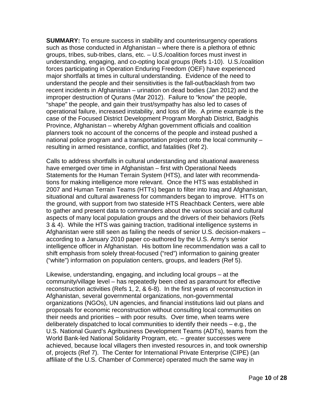**SUMMARY:** To ensure success in stability and counterinsurgency operations such as those conducted in Afghanistan – where there is a plethora of ethnic groups, tribes, sub-tribes, clans, etc. – U.S./coalition forces must invest in understanding, engaging, and co-opting local groups (Refs 1-10). U.S./coalition forces participating in Operation Enduring Freedom (OEF) have experienced major shortfalls at times in cultural understanding. Evidence of the need to understand the people and their sensitivities is the fall-out/backlash from two recent incidents in Afghanistan – urination on dead bodies (Jan 2012) and the improper destruction of Qurans (Mar 2012). Failure to "know" the people, "shape" the people, and gain their trust/sympathy has also led to cases of operational failure, increased instability, and loss of life. A prime example is the case of the Focused District Development Program Morghab District, Badghis Province, Afghanistan – whereby Afghan government officials and coalition planners took no account of the concerns of the people and instead pushed a national police program and a transportation project onto the local community – resulting in armed resistance, conflict, and fatalities (Ref 2).

Calls to address shortfalls in cultural understanding and situational awareness have emerged over time in Afghanistan – first with Operational Needs Statements for the Human Terrain System (HTS), and later with recommendations for making intelligence more relevant. Once the HTS was established in 2007 and Human Terrain Teams (HTTs) began to filter into Iraq and Afghanistan, situational and cultural awareness for commanders began to improve. HTTs on the ground, with support from two stateside HTS Reachback Centers, were able to gather and present data to commanders about the various social and cultural aspects of many local population groups and the drivers of their behaviors (Refs 3 & 4). While the HTS was gaining traction, traditional intelligence systems in Afghanistan were still seen as failing the needs of senior U.S. decision-makers – according to a January 2010 paper co-authored by the U.S. Army's senior intelligence officer in Afghanistan. His bottom line recommendation was a call to shift emphasis from solely threat-focused ("red") information to gaining greater ("white") information on population centers, groups, and leaders (Ref 5).

Likewise, understanding, engaging, and including local groups – at the community/village level – has repeatedly been cited as paramount for effective reconstruction activities (Refs 1, 2, & 6-8). In the first years of reconstruction in Afghanistan, several governmental organizations, non-governmental organizations (NGOs), UN agencies, and financial institutions laid out plans and proposals for economic reconstruction without consulting local communities on their needs and priorities – with poor results. Over time, when teams were deliberately dispatched to local communities to identify their needs – e.g., the U.S. National Guard's Agribusiness Development Teams (ADTs), teams from the World Bank-led National Solidarity Program, etc. – greater successes were achieved, because local villagers then invested resources in, and took ownership of, projects (Ref 7). The Center for International Private Enterprise (CIPE) (an affiliate of the U.S. Chamber of Commerce) operated much the same way in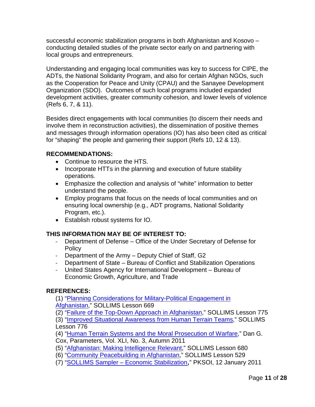successful economic stabilization programs in both Afghanistan and Kosovo – conducting detailed studies of the private sector early on and partnering with local groups and entrepreneurs.

Understanding and engaging local communities was key to success for CIPE, the ADTs, the National Solidarity Program, and also for certain Afghan NGOs, such as the Cooperation for Peace and Unity (CPAU) and the Sanayee Development Organization (SDO). Outcomes of such local programs included expanded development activities, greater community cohesion, and lower levels of violence (Refs 6, 7, & 11).

Besides direct engagements with local communities (to discern their needs and involve them in reconstruction activities), the dissemination of positive themes and messages through information operations (IO) has also been cited as critical for "shaping" the people and garnering their support (Refs 10, 12 & 13).

#### **RECOMMENDATIONS:**

- Continue to resource the HTS.
- Incorporate HTTs in the planning and execution of future stability operations.
- Emphasize the collection and analysis of "white" information to better understand the people.
- Employ programs that focus on the needs of local communities and on ensuring local ownership (e.g., ADT programs, National Solidarity Program, etc.).
- Establish robust systems for IO.

#### **THIS INFORMATION MAY BE OF INTEREST TO:**

- Department of Defense Office of the Under Secretary of Defense for Policy
- Department of the Army Deputy Chief of Staff, G2
- Department of State Bureau of Conflict and Stabilization Operations
- United States Agency for International Development Bureau of Economic Growth, Agriculture, and Trade

#### **REFERENCES:**

(1) ["Planning Considerations for Military-Political Engagement in](https://www.pksoi.org/index.cfm?disp=lms.cfm&doit=view&lmsid=669)  [Afghanistan,](https://www.pksoi.org/index.cfm?disp=lms.cfm&doit=view&lmsid=669)" SOLLIMS Lesson 669

(2) ["Failure of the Top-Down Approach in Afghanistan,](https://www.pksoi.org/index.cfm?disp=lms.cfm&doit=view&lmsid=775)" SOLLIMS Lesson 775

(3) ["Improved Situational Awareness from Human Terrain Teams,](https://www.pksoi.org/index.cfm?disp=lms.cfm&doit=view&lmsid=776)" SOLLIMS Lesson 776

(4) "Human Terrain [Systems and the Moral Prosecution of Warfare,](http://www.carlisle.army.mil/USAWC/Parameters/Articles/2011autumn/Cox.pdf)" Dan G. Cox, Parameters, Vol. XLI, No. 3, Autumn 2011

- (5) ["Afghanistan: Making Intelligence Relevant,](https://www.pksoi.org/index.cfm?disp=lms.cfm&doit=view&lmsid=680)" SOLLIMS Lesson 680
- (6) ["Community Peacebuilding in Afghanistan,](https://www.pksoi.org/index.cfm?disp=lms.cfm&doit=view&lmsid=529)" SOLLIMS Lesson 529
- (7) "SOLLIMS Sampler [Economic Stabilization](https://www.pksoi.org/document_repository/doc_lib/SOLLIMS%20Sampler%20vol%202%20issue%202%20_EconStab.pdf)," PKSOI, 12 January 2011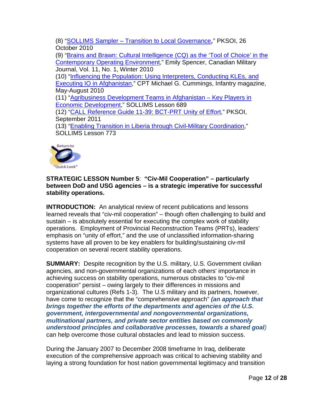(8) "SOLLIMS Sampler – [Transition to Local Governance](https://www.pksoi.org/document_repository/doc_lib/SOLLIMS%20Sampler%20Transition%2026Oct10.pdf)," PKSOI, 26 October 2010

(9) ["Brains and Brawn: Cultural Intelligence \(CQ\) as the 'Tool of Choice' in the](http://www.journal.forces.gc.ca/vo11/no1/05-spencer-eng.asp)  [Contemporary Operating Environment,](http://www.journal.forces.gc.ca/vo11/no1/05-spencer-eng.asp)" Emily Spencer, Canadian Military Journal, Vol. 11, No. 1, Winter 2010

(10) ["Influencing the Population: Using Interpreters, Conducting KLEs, and](https://www.benning.army.mil/magazine/2010/2010_2/MAY-AUG%2010.pdf)  [Executing IO in Afghanistan,](https://www.benning.army.mil/magazine/2010/2010_2/MAY-AUG%2010.pdf)" CPT Michael G. Cummings, Infantry magazine, May-August 2010

(11) ["Agribusiness Development Teams in Afghanistan –](https://www.pksoi.org/index.cfm?disp=lms.cfm&doit=view&lmsid=689) Key Players in [Economic Development,](https://www.pksoi.org/index.cfm?disp=lms.cfm&doit=view&lmsid=689)" SOLLIMS Lesson 689

(12) ["CALL Reference Guide 11-39: BCT-PRT Unity of Effort,](https://www.pksoi.org/document_repository/doc_lib/BCT-PRT_Unity_of_Effort_Reference_Guide.pdf)" PKSOI, September 2011

(13) ["Enabling Transition in Liberia through Civil-Military Coordination,](https://www.pksoi.org/index.cfm?disp=lms.cfm&doit=view&lmsid=773)" SOLLIMS Lesson 773



#### <span id="page-12-0"></span>**STRATEGIC LESSON Number 5**: **"Civ-Mil Cooperation" – particularly between DoD and USG agencies – is a strategic imperative for successful stability operations.**

**INTRODUCTION:** An analytical review of recent publications and lessons learned reveals that "civ-mil cooperation" – though often challenging to build and sustain – is absolutely essential for executing the complex work of stability operations. Employment of Provincial Reconstruction Teams (PRTs), leaders' emphasis on "unity of effort," and the use of unclassified information-sharing systems have all proven to be key enablers for building/sustaining civ-mil cooperation on several recent stability operations.

**SUMMARY:** Despite recognition by the U.S. military, U.S. Government civilian agencies, and non-governmental organizations of each others' importance in achieving success on stability operations, numerous obstacles to "civ-mil cooperation" persist – owing largely to their differences in missions and organizational cultures (Refs 1-3). The U.S military and its partners, however, have come to recognize that the "comprehensive approach" *(an approach that brings together the efforts of the departments and agencies of the U.S. government, intergovernmental and nongovernmental organizations, multinational partners, and private sector entities based on commonly understood principles and collaborative processes, towards a shared goal)* can help overcome those cultural obstacles and lead to mission success.

During the January 2007 to December 2008 timeframe In Iraq, deliberate execution of the comprehensive approach was critical to achieving stability and laying a strong foundation for host nation governmental legitimacy and transition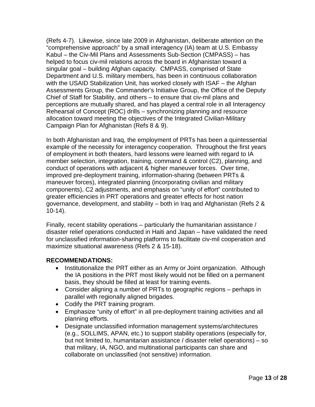(Refs 4-7). Likewise, since late 2009 in Afghanistan, deliberate attention on the "comprehensive approach" by a small interagency (IA) team at U.S. Embassy Kabul – the Civ-Mil Plans and Assessments Sub-Section (CMPASS) – has helped to focus civ-mil relations across the board in Afghanistan toward a singular goal – building Afghan capacity. CMPASS, comprised of State Department and U.S. military members, has been in continuous collaboration with the USAID Stabilization Unit, has worked closely with ISAF – the Afghan Assessments Group, the Commander's Initiative Group, the Office of the Deputy Chief of Staff for Stability, and others – to ensure that civ-mil plans and perceptions are mutually shared, and has played a central role in all Interagency Rehearsal of Concept (ROC) drills – synchronizing planning and resource allocation toward meeting the objectives of the Integrated Civilian-Military Campaign Plan for Afghanistan (Refs 8 & 9).

In both Afghanistan and Iraq, the employment of PRTs has been a quintessential example of the necessity for interagency cooperation. Throughout the first years of employment in both theaters, hard lessons were learned with regard to IA member selection, integration, training, command & control (C2), planning, and conduct of operations with adjacent & higher maneuver forces. Over time, improved pre-deployment training, information-sharing (between PRTs & maneuver forces), integrated planning (incorporating civilian and military components), C2 adjustments, and emphasis on "unity of effort" contributed to greater efficiencies in PRT operations and greater effects for host nation governance, development, and stability – both in Iraq and Afghanistan (Refs 2 & 10-14).

Finally, recent stability operations – particularly the humanitarian assistance / disaster relief operations conducted in Haiti and Japan – have validated the need for unclassified information-sharing platforms to facilitate civ-mil cooperation and maximize situational awareness (Refs 2 & 15-18).

#### **RECOMMENDATIONS:**

- Institutionalize the PRT either as an Army or Joint organization. Although the IA positions in the PRT most likely would not be filled on a permanent basis, they should be filled at least for training events.
- Consider aligning a number of PRTs to geographic regions perhaps in parallel with regionally aligned brigades.
- Codify the PRT training program.
- Emphasize "unity of effort" in all pre-deployment training activities and all planning efforts.
- Designate unclassified information management systems/architectures (e.g., SOLLIMS, APAN, etc.) to support stability operations (especially for, but not limited to, humanitarian assistance / disaster relief operations) – so that military, IA, NGO, and multinational participants can share and collaborate on unclassified (not sensitive) information.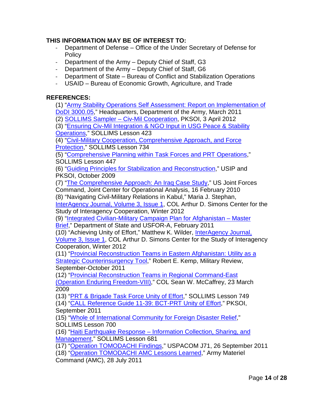#### **THIS INFORMATION MAY BE OF INTEREST TO:**

- Department of Defense Office of the Under Secretary of Defense for **Policy**
- Department of the Army Deputy Chief of Staff, G3
- Department of the Army Deputy Chief of Staff, G6
- Department of State Bureau of Conflict and Stabilization Operations
- USAID Bureau of Economic Growth, Agriculture, and Trade

#### **REFERENCES:**

(1) ["Army Stability Operations Self Assessment: Report on Implementation of](https://www.pksoi.org/document_repository/doc_lib/Army%20Stab%20Ops%20Self-Assessment%20(FINAL).pdf)  [DoDI 3000.05,](https://www.pksoi.org/document_repository/doc_lib/Army%20Stab%20Ops%20Self-Assessment%20(FINAL).pdf)" Headquarters, Department of the Army, March 2011

(2) [SOLLIMS Sampler –](https://www.pksoi.org/document_repository/doc_lib/SOLLIMS_Sampler_Civ-Mil_Cooperation_final_Apr2012.pdf) Civ-Mil Cooperation, PKSOI, 3 April 2012

(3) ["Ensuring Civ-Mil Integration & NGO Input in USG Peace & Stability](https://www.pksoi.org/index.cfm?disp=lms.cfm&doit=view&lmsid=423)  [Operations,](https://www.pksoi.org/index.cfm?disp=lms.cfm&doit=view&lmsid=423)" SOLLIMS Lesson 423

(4) "Civil-Military [Cooperation, Comprehensive Approach, and Force](https://www.pksoi.org/index.cfm?disp=lms.cfm&doit=view&lmsid=734)  [Protection,](https://www.pksoi.org/index.cfm?disp=lms.cfm&doit=view&lmsid=734)" SOLLIMS Lesson 734

(5) ["Comprehensive Planning within Task Forces and PRT Operations,](https://www.pksoi.org/index.cfm?disp=lms.cfm&doit=view&lmsid=447)" SOLLIMS Lesson 447

(6) ["Guiding Principles for Stabilization and Reconstruction,](https://www.pksoi.org/document_repository/doc_lib/USIP-PKSOI_Guiding_Principles_Oct_2009.pdf)" USIP and PKSOI, October 2009

(7) ["The Comprehensive Approach: An Iraq Case Study,](https://www.pksoi.org/document_repository/doc_lib/JFCOM_Iraq_Case_Study_16_Feb_2010.pdf)" US Joint Forces Command, Joint Center for Operational Analysis, 16 February 2010

(8) "Navigating Civil-Military Relations in Kabul," Maria J. Stephan, [InterAgency Journal, Volume 3, Issue 1,](http://thesimonscenter.org/wp-content/uploads/2012/02/IAJ-3-1-Winter-2012.pdf) COL Arthur D. Simons Center for the Study of Interagency Cooperation, Winter 2012

(9) "Integrated [Civilian-Military Campaign Plan for Afghanistan –](https://www.pksoi.org/document_repository/misc/Integrated_Civ-Mil_Campaign_Plan_AFG_Feb2011-COP-231.pptx) Master [Brief,](https://www.pksoi.org/document_repository/misc/Integrated_Civ-Mil_Campaign_Plan_AFG_Feb2011-COP-231.pptx)" Department of State and USFOR-A, February 2011

(10) "Achieving Unity of Effort," Matthew K. Wilder, [InterAgency Journal,](http://thesimonscenter.org/wp-content/uploads/2012/02/IAJ-3-1-Winter-2012.pdf)  [Volume 3, Issue 1,](http://thesimonscenter.org/wp-content/uploads/2012/02/IAJ-3-1-Winter-2012.pdf) COL Arthur D. Simons Center for the Study of Interagency Cooperation, Winter 2012

(11) ["Provincial Reconstruction Teams in Eastern Afghanistan: Utility as a](https://www.pksoi.org/document_repository/misc/Provincial_Reconstruction_Teams_in_Eastern_Afghanistan_Sep2011-COP-261.pdf)  [Strategic Counterinsurgency Tool,](https://www.pksoi.org/document_repository/misc/Provincial_Reconstruction_Teams_in_Eastern_Afghanistan_Sep2011-COP-261.pdf)" Robert E. Kemp, Military Review, September-October 2011

(12) ["Provincial Reconstruction Teams in Regional Command-East](https://www.pksoi.org/document_repository/misc/PRTs_in_RC-East_OEF_23Mar2009-COP-271.pdf)  [\(Operation Enduring Freedom-VIII\),](https://www.pksoi.org/document_repository/misc/PRTs_in_RC-East_OEF_23Mar2009-COP-271.pdf)" COL Sean W. McCaffrey, 23 March 2009

(13) "PRT & Brigade Task [Force Unity of Effort,](https://www.pksoi.org/index.cfm?disp=lms.cfm&doit=view&lmsid=749)" SOLLIMS Lesson 749 (14) ["CALL Reference Guide 11-39: BCT-PRT Unity of Effort,](https://www.pksoi.org/document_repository/doc_lib/BCT-PRT_Unity_of_Effort_Reference_Guide.pdf)" PKSOI, September 2011

(15) ["Whole of International Community for Foreign Disaster Relief,](https://www.pksoi.org/index.cfm?disp=lms.cfm&doit=view&lmsid=700)" SOLLIMS Lesson 700

(16) "Haiti Earthquake Response – [Information Collection, Sharing, and](https://www.pksoi.org/index.cfm?disp=lms.cfm&doit=view&lmsid=681)  [Management,](https://www.pksoi.org/index.cfm?disp=lms.cfm&doit=view&lmsid=681)" SOLLIMS Lesson 681

(17) ["Operation TOMODACHI Findings,](https://www.pksoi.org/document_repository/doc_lib/Operation_TOMODACHI_Lessons_Learned_WJTSC_11-2_26_Sep_2011.pdf)" USPACOM J71, 26 September 2011

(18) ["Operation TOMODACHI AMC Lessons Learned,](https://www.pksoi.org/document_repository/doc_lib/TOMODACHI_AMC_LL_28July2011.pdf)" Army Materiel

Command (AMC), 28 July 2011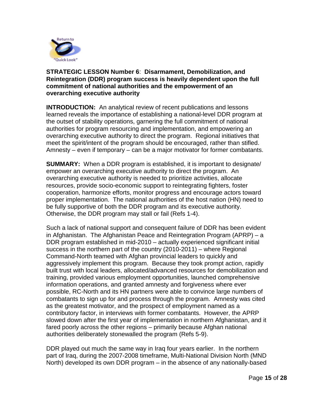

#### <span id="page-15-0"></span>**STRATEGIC LESSON Number 6**: **Disarmament, Demobilization, and Reintegration (DDR) program success is heavily dependent upon the full commitment of national authorities and the empowerment of an overarching executive authority**

**INTRODUCTION:** An analytical review of recent publications and lessons learned reveals the importance of establishing a national-level DDR program at the outset of stability operations, garnering the full commitment of national authorities for program resourcing and implementation, and empowering an overarching executive authority to direct the program. Regional initiatives that meet the spirit/intent of the program should be encouraged, rather than stifled. Amnesty – even if temporary – can be a major motivator for former combatants.

**SUMMARY:** When a DDR program is established, it is important to designate/ empower an overarching executive authority to direct the program. An overarching executive authority is needed to prioritize activities, allocate resources, provide socio-economic support to reintegrating fighters, foster cooperation, harmonize efforts, monitor progress and encourage actors toward proper implementation. The national authorities of the host nation (HN) need to be fully supportive of both the DDR program and its executive authority. Otherwise, the DDR program may stall or fail (Refs 1-4).

Such a lack of national support and consequent failure of DDR has been evident in Afghanistan. The Afghanistan Peace and Reintegration Program (APRP) – a DDR program established in mid-2010 – actually experienced significant initial success in the northern part of the country (2010-2011) – where Regional Command-North teamed with Afghan provincial leaders to quickly and aggressively implement this program. Because they took prompt action, rapidly built trust with local leaders, allocated/advanced resources for demobilization and training, provided various employment opportunities, launched comprehensive information operations, and granted amnesty and forgiveness where ever possible, RC-North and its HN partners were able to convince large numbers of combatants to sign up for and process through the program. Amnesty was cited as the greatest motivator, and the prospect of employment named as a contributory factor, in interviews with former combatants. However, the APRP slowed down after the first year of implementation in northern Afghanistan, and it fared poorly across the other regions – primarily because Afghan national authorities deliberately stonewalled the program (Refs 5-9).

DDR played out much the same way in Iraq four years earlier. In the northern part of Iraq, during the 2007-2008 timeframe, Multi-National Division North (MND North) developed its own DDR program – in the absence of any nationally-based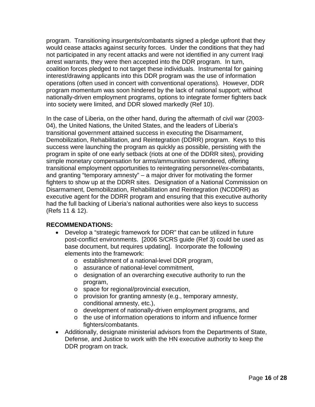program. Transitioning insurgents/combatants signed a pledge upfront that they would cease attacks against security forces. Under the conditions that they had not participated in any recent attacks and were not identified in any current Iraqi arrest warrants, they were then accepted into the DDR program. In turn, coalition forces pledged to not target these individuals. Instrumental for gaining interest/drawing applicants into this DDR program was the use of information operations (often used in concert with conventional operations). However, DDR program momentum was soon hindered by the lack of national support; without nationally-driven employment programs, options to integrate former fighters back into society were limited, and DDR slowed markedly (Ref 10).

In the case of Liberia, on the other hand, during the aftermath of civil war (2003- 04), the United Nations, the United States, and the leaders of Liberia's transitional government attained success in executing the Disarmament, Demobilization, Rehabilitation, and Reintegration (DDRR) program. Keys to this success were launching the program as quickly as possible, persisting with the program in spite of one early setback (riots at one of the DDRR sites), providing simple monetary compensation for arms/ammunition surrendered, offering transitional employment opportunities to reintegrating personnel/ex-combatants, and granting "temporary amnesty" – a major driver for motivating the former fighters to show up at the DDRR sites. Designation of a National Commission on Disarmament, Demobilization, Rehabilitation and Reintegration (NCDDRR) as executive agent for the DDRR program and ensuring that this executive authority had the full backing of Liberia's national authorities were also keys to success (Refs 11 & 12).

#### **RECOMMENDATIONS:**

- Develop a "strategic framework for DDR" that can be utilized in future post-conflict environments. [2006 S/CRS guide (Ref 3) could be used as base document, but requires updating]. Incorporate the following elements into the framework:
	- o establishment of a national-level DDR program,
	- o assurance of national-level commitment,
	- o designation of an overarching executive authority to run the program,
	- o space for regional/provincial execution,
	- o provision for granting amnesty (e.g., temporary amnesty, conditional amnesty, etc.),
	- o development of nationally-driven employment programs, and
	- o the use of information operations to inform and influence former fighters/combatants.
- Additionally, designate ministerial advisors from the Departments of State, Defense, and Justice to work with the HN executive authority to keep the DDR program on track.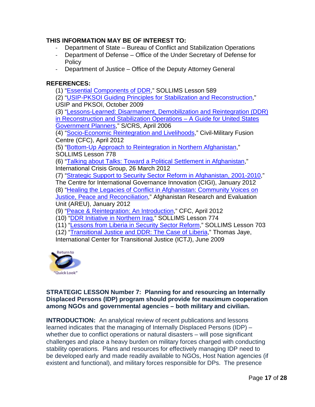#### **THIS INFORMATION MAY BE OF INTEREST TO:**

- Department of State Bureau of Conflict and Stabilization Operations
- Department of Defense Office of the Under Secretary of Defense for **Policy**
- Department of Justice Office of the Deputy Attorney General

#### **REFERENCES:**

(1) ["Essential Components of DDR,](https://www.pksoi.org/index.cfm?disp=lms.cfm&doit=view&lmsid=589)" SOLLIMS Lesson 589

(2) ["USIP-PKSOI Guiding Principles for Stabilization and Reconstruction,](https://www.pksoi.org/document_repository/doc_lib/USIP-PKSOI_Guiding_Principles_Oct_2009.pdf)" USIP and PKSOI, October 2009

(3) ["Lessons-Learned: Disarmament, Demobilization and Reintegration \(DDR\)](https://www.pksoi.org/document_repository/doc_lib/SCRS_DDR_A%20Guide%20for%20USG%20Planners_April_2006.pdf)  [in Reconstruction and Stabilization Operations –](https://www.pksoi.org/document_repository/doc_lib/SCRS_DDR_A%20Guide%20for%20USG%20Planners_April_2006.pdf) A Guide for United States [Government Planners,](https://www.pksoi.org/document_repository/doc_lib/SCRS_DDR_A%20Guide%20for%20USG%20Planners_April_2006.pdf)" S/CRS, April 2006

(4) ["Socio-Economic Reintegration and Livelihoods,](https://www.pksoi.org/document_repository/doc_lib/CFC_Peace_&_Reintegration_Part_3_Livelihoods_(26-Apr-12).pdf)" Civil-Military Fusion Centre (CFC), April 2012

(5) ["Bottom-Up Approach to Reintegration in Northern Afghanistan,](https://www.pksoi.org/index.cfm?disp=lms.cfm&doit=view&lmsid=778)" SOLLIMS Lesson 778

(6) ["Talking about Talks: Toward a Political Settlement in Afghanistan,](https://www.pksoi.org/document_repository/Lessons/Toward_a_Political_Settlement_26March2012-LMS-778.pdf)" International Crisis Group, 26 March 2012

(7) ["Strategic Support to Security Sector Reform in Afghanistan, 2001-2010,](https://www.pksoi.org/document_repository/Report/CIGI_SSR_Issue_no6_Jan12-CDR-517.pdf)"

The Centre for International Governance Innovation (CIGI), January 2012

(8) ["Healing the Legacies of Conflict in Afghanistan: Community Voices on](https://www.pksoi.org/document_repository/Report/AREU-Healing_the_Legacies_of_Conflict_in_Afghanistan_Jan2012-CDR-510.pdf)  [Justice, Peace and Reconciliation,](https://www.pksoi.org/document_repository/Report/AREU-Healing_the_Legacies_of_Conflict_in_Afghanistan_Jan2012-CDR-510.pdf)" Afghanistan Research and Evaluation Unit (AREU), January 2012

(9) ["Peace & Reintegration: An Introduction,](https://www.pksoi.org/document_repository/doc_lib/CFC_Peace_&_Reintegration_Part_1_Introduction_(08-Apr-12).pdf)" CFC, April 2012

(10) ["DDR Initiative in Northern Iraq,](https://www.pksoi.org/index.cfm?disp=lms.cfm&doit=view&lmsid=774)" SOLLIMS Lesson 774

(11) ["Lessons from Liberia in Security Sector Reform,](https://www.pksoi.org/index.cfm?disp=lms.cfm&doit=view&lmsid=703)" SOLLIMS Lesson 703

(12) ["Transitional Justice and DDR: The Case of Liberia,](http://ictj.org/sites/default/files/ICTJ-DDR-Liberia-CaseStudy-2009-English.pdf)" Thomas Jaye,

International Center for Transitional Justice (ICTJ), June 2009



#### <span id="page-17-0"></span>**STRATEGIC LESSON Number 7: Planning for and resourcing an Internally Displaced Persons (IDP) program should provide for maximum cooperation among NGOs and governmental agencies – both military and civilian.**

**INTRODUCTION:** An analytical review of recent publications and lessons learned indicates that the managing of Internally Displaced Persons (IDP) – whether due to conflict operations or natural disasters – will pose significant challenges and place a heavy burden on military forces charged with conducting stability operations. Plans and resources for effectively managing IDP need to be developed early and made readily available to NGOs, Host Nation agencies (if existent and functional), and military forces responsible for DPs. The presence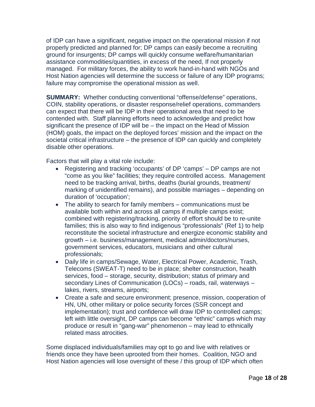of IDP can have a significant, negative impact on the operational mission if not properly predicted and planned for; DP camps can easily become a recruiting ground for insurgents; DP camps will quickly consume welfare/humanitarian assistance commodities/quantities, in excess of the need, If not properly managed. For military forces, the ability to work hand-in-hand with NGOs and Host Nation agencies will determine the success or failure of any IDP programs; failure may compromise the operational mission as well.

**SUMMARY:** Whether conducting conventional "offense/defense" operations, COIN, stability operations, or disaster response/relief operations, commanders can expect that there will be IDP in their operational area that need to be contended with. Staff planning efforts need to acknowledge and predict how significant the presence of IDP will be – the impact on the Head of Mission (HOM) goals, the impact on the deployed forces' mission and the impact on the societal critical infrastructure – the presence of IDP can quickly and completely disable other operations.

Factors that will play a vital role include:

- Registering and tracking 'occupants' of DP 'camps' DP camps are not "come as you like" facilities; they require controlled access. Management need to be tracking arrival, births, deaths (burial grounds, treatment/ marking of unidentified remains), and possible marriages – depending on duration of 'occupation';
- The ability to search for family members communications must be available both within and across all camps if multiple camps exist; combined with registering/tracking, priority of effort should be to re-unite families; this is also way to find indigenous "professionals" (Ref 1) to help reconstitute the societal infrastructure and energize economic stability and growth – i.e. business/management, medical admin/doctors/nurses, government services, educators, musicians and other cultural professionals;
- Daily life in camps/Sewage, Water, Electrical Power, Academic, Trash, Telecoms (SWEAT-T) need to be in place; shelter construction, health services, food – storage, security, distribution; status of primary and secondary Lines of Communication (LOCs) – roads, rail, waterways – lakes, rivers, streams, airports;
- Create a safe and secure environment; presence, mission, cooperation of HN, UN, other military or police security forces (SSR concept and implementation); trust and confidence will draw IDP to controlled camps; left with little oversight, DP camps can become "ethnic" camps which may produce or result in "gang-war" phenomenon – may lead to ethnically related mass atrocities.

Some displaced individuals/families may opt to go and live with relatives or friends once they have been uprooted from their homes. Coalition, NGO and Host Nation agencies will lose oversight of these / this group of IDP which often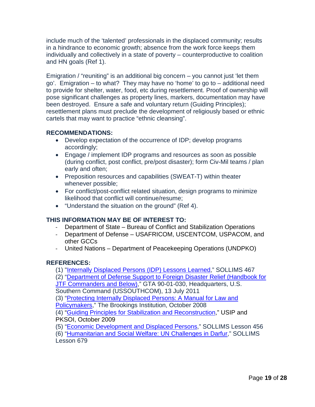include much of the 'talented' professionals in the displaced community; results in a hindrance to economic growth; absence from the work force keeps them individually and collectively in a state of poverty – counterproductive to coalition and HN goals (Ref 1).

Emigration / "reuniting" is an additional big concern – you cannot just 'let them go'. Emigration – to what? They may have no 'home' to go to – additional need to provide for shelter, water, food, etc during resettlement. Proof of ownership will pose significant challenges as property lines, markers, documentation may have been destroyed. Ensure a safe and voluntary return (Guiding Principles); resettlement plans must preclude the development of religiously based or ethnic cartels that may want to practice "ethnic cleansing".

#### **RECOMMENDATIONS:**

- Develop expectation of the occurrence of IDP; develop programs accordingly;
- Engage / implement IDP programs and resources as soon as possible (during conflict, post conflict, pre/post disaster); form Civ-Mil teams / plan early and often;
- Preposition resources and capabilities (SWEAT-T) within theater whenever possible;
- For conflict/post-conflict related situation, design programs to minimize likelihood that conflict will continue/resume;
- "Understand the situation on the ground" (Ref 4).

#### **THIS INFORMATION MAY BE OF INTEREST TO:**

- Department of State Bureau of Conflict and Stabilization Operations
- Department of Defense USAFRICOM, USCENTCOM, USPACOM, and other GCCs
- United Nations Department of Peacekeeping Operations (UNDPKO)

#### **REFERENCES:**

(1) ["Internally Displaced Persons \(IDP\) Lessons Learned,](https://www.pksoi.org/index.cfm?disp=lms.cfm&doit=view&lmsid=467)" SOLLIMS 467

(2) "Department of Defense [Support to Foreign Disaster Relief](https://www.pksoi.org/document_repository/doc_lib/FDR_Handbook_Composite_Final_GTA%2090_01_030_Jul2011.pdf) (Handbook for

[JTF Commanders and Below\),](https://www.pksoi.org/document_repository/doc_lib/FDR_Handbook_Composite_Final_GTA%2090_01_030_Jul2011.pdf)" GTA 90-01-030, Headquarters, U.S. Southern Command (USSOUTHCOM), 13 July 2011

(3) ["Protecting Internally Displaced Persons: A Manual for Law and](http://www.brookings.edu/research/papers/2008/10/16-internal-displacement) 

[Policymakers,](http://www.brookings.edu/research/papers/2008/10/16-internal-displacement)" The Brookings Institution, October 2008

(4) ["Guiding Principles for Stabilization and Reconstruction,](https://www.pksoi.org/document_repository/doc_lib/USIP-PKSOI_Guiding_Principles_Oct_2009.pdf)" USIP and PKSOI, October 2009

(5) ["Economic Development and Displaced Persons,](https://www.pksoi.org/index.cfm?disp=lms.cfm&doit=view&lmsid=456)" SOLLIMS Lesson 456

(6) ["Humanitarian and Social Welfare: UN Challenges in Darfur,](https://www.pksoi.org/index.cfm?disp=lms.cfm&doit=view&lmsid=679)" SOLLIMS Lesson 679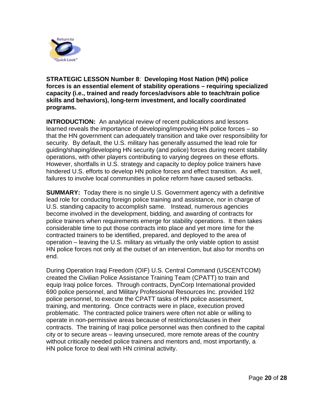

<span id="page-20-0"></span>**STRATEGIC LESSON Number 8**: **Developing Host Nation (HN) police forces is an essential element of stability operations – requiring specialized capacity (i.e., trained and ready forces/advisors able to teach/train police skills and behaviors), long-term investment, and locally coordinated programs.** 

**INTRODUCTION:** An analytical review of recent publications and lessons learned reveals the importance of developing/improving HN police forces – so that the HN government can adequately transition and take over responsibility for security. By default, the U.S. military has generally assumed the lead role for guiding/shaping/developing HN security (and police) forces during recent stability operations, with other players contributing to varying degrees on these efforts. However, shortfalls in U.S. strategy and capacity to deploy police trainers have hindered U.S. efforts to develop HN police forces and effect transition. As well, failures to involve local communities in police reform have caused setbacks.

**SUMMARY:** Today there is no single U.S. Government agency with a definitive lead role for conducting foreign police training and assistance, nor in charge of U.S. standing capacity to accomplish same. Instead, numerous agencies become involved in the development, bidding, and awarding of contracts for police trainers when requirements emerge for stability operations. It then takes considerable time to put those contracts into place and yet more time for the contracted trainers to be identified, prepared, and deployed to the area of operation – leaving the U.S. military as virtually the only viable option to assist HN police forces not only at the outset of an intervention, but also for months on end.

During Operation Iraqi Freedom (OIF) U.S. Central Command (USCENTCOM) created the Civilian Police Assistance Training Team (CPATT) to train and equip Iraqi police forces. Through contracts, DynCorp International provided 690 police personnel, and Military Professional Resources Inc. provided 192 police personnel, to execute the CPATT tasks of HN police assessment, training, and mentoring. Once contracts were in place, execution proved problematic. The contracted police trainers were often not able or willing to operate in non-permissive areas because of restrictions/clauses in their contracts. The training of Iraqi police personnel was then confined to the capital city or to secure areas – leaving unsecured, more remote areas of the country without critically needed police trainers and mentors and, most importantly, a HN police force to deal with HN criminal activity.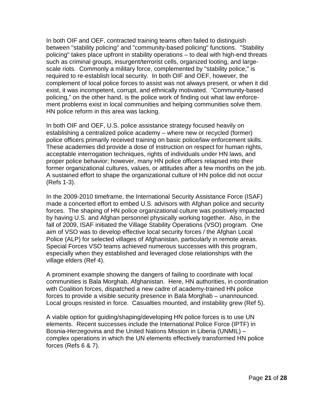In both OIF and OEF, contracted training teams often failed to distinguish between "stability policing" and "community-based policing" functions. "Stability policing" takes place upfront in stability operations – to deal with high-end threats such as criminal groups, insurgent/terrorist cells, organized looting, and largescale riots. Commonly a military force, complemented by "stability police," is required to re-establish local security. In both OIF and OEF, however, the complement of local police forces to assist was not always present, or when it did exist, it was incompetent, corrupt, and ethnically motivated. "Community-based policing," on the other hand, is the police work of finding out what law enforcement problems exist in local communities and helping communities solve them. HN police reform in this area was lacking.

In both OIF and OEF, U.S. police assistance strategy focused heavily on establishing a centralized police academy – where new or recycled (former) police officers primarily received training on basic police/law enforcement skills. These academies did provide a dose of instruction on respect for human rights, acceptable interrogation techniques, rights of individuals under HN laws, and proper police behavior; however, many HN police officers relapsed into their former organizational cultures, values, or attitudes after a few months on the job. A sustained effort to shape the organizational culture of HN police did not occur (Refs 1-3).

In the 2009-2010 timeframe, the International Security Assistance Force (ISAF) made a concerted effort to embed U.S. advisors with Afghan police and security forces. The shaping of HN police organizational culture was positively impacted by having U.S. and Afghan personnel physically working together. Also, in the fall of 2009, ISAF initiated the Village Stability Operations (VSO) program. One aim of VSO was to develop effective local security forces / the Afghan Local Police (ALP) for selected villages of Afghanistan, particularly in remote areas. Special Forces VSO teams achieved numerous successes with this program, especially when they established and leveraged close relationships with the village elders (Ref 4).

A prominent example showing the dangers of failing to coordinate with local communities is Bala Morghab, Afghanistan. Here, HN authorities, in coordination with Coalition forces, dispatched a new cadre of academy-trained HN police forces to provide a visible security presence in Bala Morghab – unannounced. Local groups resisted in force. Casualties mounted, and instability grew (Ref 5).

A viable option for guiding/shaping/developing HN police forces is to use UN elements. Recent successes include the International Police Force (IPTF) in Bosnia-Herzegovina and the United Nations Mission in Liberia (UNMIL) – complex operations in which the UN elements effectively transformed HN police forces (Refs 6 & 7).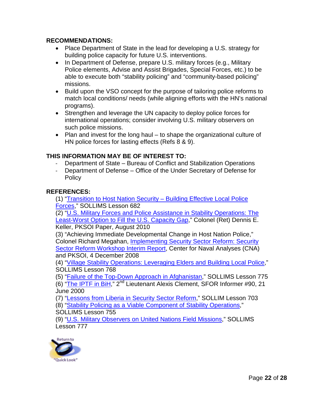#### **RECOMMENDATIONS:**

- Place Department of State in the lead for developing a U.S. strategy for building police capacity for future U.S. interventions.
- In Department of Defense, prepare U.S. military forces (e.g., Military Police elements, Advise and Assist Brigades, Special Forces, etc.) to be able to execute both "stability policing" and "community-based policing" missions.
- Build upon the VSO concept for the purpose of tailoring police reforms to match local conditions/ needs (while aligning efforts with the HN's national programs).
- Strengthen and leverage the UN capacity to deploy police forces for international operations; consider involving U.S. military observers on such police missions.
- Plan and invest for the long haul to shape the organizational culture of HN police forces for lasting effects (Refs 8 & 9).

#### **THIS INFORMATION MAY BE OF INTEREST TO:**

- Department of State Bureau of Conflict and Stabilization Operations
- Department of Defense Office of the Under Secretary of Defense for **Policy**

#### **REFERENCES:**

(1) ["Transition to Host Nation Security –](https://www.pksoi.org/index.cfm?disp=lms.cfm&doit=view&lmsid=682) Building Effective Local Police [Forces,](https://www.pksoi.org/index.cfm?disp=lms.cfm&doit=view&lmsid=682)" SOLLIMS Lesson 682

(2) ["U.S. Military Forces and Police Assistance in Stability Operations: The](https://www.pksoi.org/document_repository/doc_lib/PKSOI_Military_Force_&_Police_Assistance_Aug_2010.pdf)  [Least-Worst Option to Fill the U.S. Capacity Gap,](https://www.pksoi.org/document_repository/doc_lib/PKSOI_Military_Force_&_Police_Assistance_Aug_2010.pdf)" Colonel (Ret) Dennis E. Keller, PKSOI Paper, August 2010

(3) "Achieving Immediate Developmental Change in Host Nation Police," Colonel Richard Megahan, [Implementing Security Sector Reform: Security](https://www.pksoi.org/document_repository/doc_lib/Security_Sector_Reform_Workshop_Report_4_Dec_2008.pdf)  Sector Reform [Workshop Interim Report,](https://www.pksoi.org/document_repository/doc_lib/Security_Sector_Reform_Workshop_Report_4_Dec_2008.pdf) Center for Naval Analyses (CNA) and PKSOI, 4 December 2008

(4) ["Village Stability Operations: Leveraging Elders and Building Local Police,](https://www.pksoi.org/index.cfm?disp=lms.cfm&doit=view&lmsid=768)" SOLLIMS Lesson 768

(5) ["Failure of the Top-Down Approach in Afghanistan,](https://www.pksoi.org/index.cfm?disp=lms.cfm&doit=view&lmsid=775)" SOLLIMS Lesson 775

(6) ["The IPTF in BiH,](http://www.nato.int/sfor/indexinf/90/iptfbih/t000623o.htm)" 2nd Lieutenant Alexis Clement, SFOR Informer #90, 21 June 2000

(7) ["Lessons from Liberia in Security Sector Reform,](https://www.pksoi.org/index.cfm?disp=lms.cfm&doit=view&lmsid=703)" SOLLIM Lesson 703

(8) ["Stability Policing as a Viable Component of Stability Operations,](https://www.pksoi.org/index.cfm?disp=lms.cfm&doit=view&lmsid=755)"

SOLLIMS Lesson 755

(9) ["U.S. Military Observers on United Nations Field Missions,](https://www.pksoi.org/index.cfm?disp=lms.cfm&doit=view&lmsid=777)" SOLLIMS Lesson 777

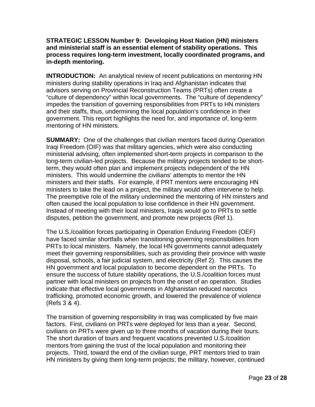#### <span id="page-23-0"></span>**STRATEGIC LESSON Number 9: Developing Host Nation (HN) ministers and ministerial staff is an essential element of stability operations. This process requires long-term investment, locally coordinated programs, and in-depth mentoring.**

**INTRODUCTION:** An analytical review of recent publications on mentoring HN ministers during stability operations in Iraq and Afghanistan indicates that advisors serving on Provincial Reconstruction Teams (PRTs) often create a "culture of dependency" within local governments. The "culture of dependency" impedes the transition of governing responsibilities from PRTs to HN ministers and their staffs, thus, undermining the local population's confidence in their government. This report highlights the need for, and importance of, long-term mentoring of HN ministers.

**SUMMARY:** One of the challenges that civilian mentors faced during Operation Iraqi Freedom (OIF) was that military agencies, which were also conducting ministerial advising, often implemented short-term projects in comparison to the long-term civilian-led projects. Because the military projects tended to be shortterm, they would often plan and implement projects independent of the HN ministers. This would undermine the civilians' attempts to mentor the HN ministers and their staffs. For example, if PRT mentors were encouraging HN ministers to take the lead on a project, the military would often intervene to help. The preemptive role of the military undermined the mentoring of HN minsters and often caused the local population to lose confidence in their HN government. Instead of meeting with their local ministers, Iraqis would go to PRTs to settle disputes, petition the government, and promote new projects (Ref 1).

The U.S./coalition forces participating in Operation Enduring Freedom (OEF) have faced similar shortfalls when transitioning governing responsibilities from PRTs to local ministers. Namely, the local HN governments cannot adequately meet their governing responsibilities, such as providing their province with waste disposal, schools, a fair judicial system, and electricity (Ref 2). This causes the HN government and local population to become dependent on the PRTs. To ensure the success of future stability operations, the U.S./coalition forces must partner with local ministers on projects from the onset of an operation. Studies indicate that effective local governments in Afghanistan reduced narcotics trafficking, promoted economic growth, and lowered the prevalence of violence (Refs 3 & 4).

The transition of governing responsibility in Iraq was complicated by five main factors. First, civilians on PRTs were deployed for less than a year. Second, civilians on PRTs were given up to three months of vacation during their tours. The short duration of tours and frequent vacations prevented U.S./coalition mentors from gaining the trust of the local population and monitoring their projects. Third, toward the end of the civilian surge, PRT mentors tried to train HN ministers by giving them long-term projects; the military, however, continued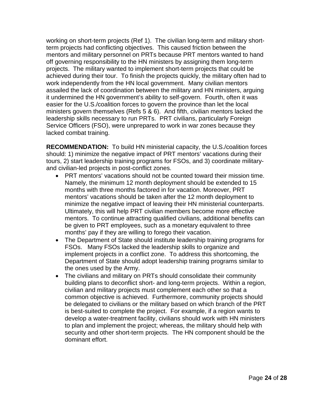working on short-term projects (Ref 1). The civilian long-term and military shortterm projects had conflicting objectives. This caused friction between the mentors and military personnel on PRTs because PRT mentors wanted to hand off governing responsibility to the HN ministers by assigning them long-term projects. The military wanted to implement short-term projects that could be achieved during their tour. To finish the projects quickly, the military often had to work independently from the HN local government. Many civilian mentors assailed the lack of coordination between the military and HN ministers, arguing it undermined the HN government's ability to self-govern. Fourth, often it was easier for the U.S./coalition forces to govern the province than let the local ministers govern themselves (Refs 5 & 6). And fifth, civilian mentors lacked the leadership skills necessary to run PRTs. PRT civilians, particularly Foreign Service Officers (FSO), were unprepared to work in war zones because they lacked combat training.

**RECOMMENDATION:** To build HN ministerial capacity, the U.S./coalition forces should: 1) minimize the negative impact of PRT mentors' vacations during their tours, 2) start leadership training programs for FSOs, and 3) coordinate militaryand civilian-led projects in post-conflict zones.

- PRT mentors' vacations should not be counted toward their mission time. Namely, the minimum 12 month deployment should be extended to 15 months with three months factored in for vacation. Moreover, PRT mentors' vacations should be taken after the 12 month deployment to minimize the negative impact of leaving their HN ministerial counterparts. Ultimately, this will help PRT civilian members become more effective mentors. To continue attracting qualified civilians, additional benefits can be given to PRT employees, such as a monetary equivalent to three months' pay if they are willing to forego their vacation.
- The Department of State should institute leadership training programs for FSOs. Many FSOs lacked the leadership skills to organize and implement projects in a conflict zone. To address this shortcoming, the Department of State should adopt leadership training programs similar to the ones used by the Army.
- The civilians and military on PRTs should consolidate their community building plans to deconflict short- and long-term projects. Within a region, civilian and military projects must complement each other so that a common objective is achieved. Furthermore, community projects should be delegated to civilians or the military based on which branch of the PRT is best-suited to complete the project. For example, if a region wants to develop a water-treatment facility, civilians should work with HN ministers to plan and implement the project; whereas, the military should help with security and other short-term projects. The HN component should be the dominant effort.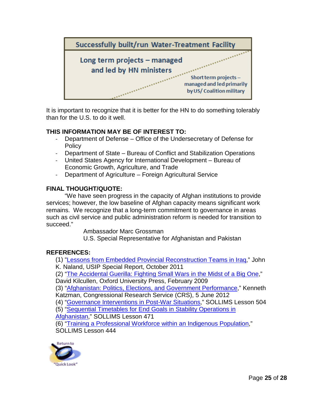

It is important to recognize that it is better for the HN to do something tolerably than for the U.S. to do it well.

#### **THIS INFORMATION MAY BE OF INTEREST TO:**

- Department of Defense Office of the Undersecretary of Defense for **Policy**
- Department of State Bureau of Conflict and Stabilization Operations
- United States Agency for International Development Bureau of Economic Growth, Agriculture, and Trade
- Department of Agriculture Foreign Agricultural Service

#### **FINAL THOUGHT/QUOTE:**

"We have seen progress in the capacity of Afghan institutions to provide services; however, the low baseline of Afghan capacity means significant work remains. We recognize that a long-term commitment to governance in areas such as civil service and public administration reform is needed for transition to succeed."

Ambassador Marc Grossman

U.S. Special Representative for Afghanistan and Pakistan

#### **REFERENCES:**

(1) ["Lessons from Embedded Provincial Reconstruction Teams in Iraq,](http://www.usip.org/files/resources/SR290.pdf)" John

K. Naland, USIP Special Report, October 2011

(2) ["The Accidental Guerilla: Fighting Small Wars in the Midst of a Big One,](http://www.oup.com/us/catalog/general/subject/Politics/?view=usa&ci=9780195368345)"

David Kilcullen, Oxford University Press, February 2009

(3) ["Afghanistan: Politics, Elections, and Government Performance,](http://www.fas.org/sgp/crs/row/RS21922.pdf)" Kenneth Katzman, Congressional Research Service (CRS), 5 June 2012

(4) ["Governance Interventions in Post-War Situations,](https://www.pksoi.org/index.cfm?disp=lms.cfm&doit=view&lmsid=504)" SOLLIMS Lesson 504 (5) ["Sequential Timetables for End Goals in Stability Operations in](https://www.pksoi.org/index.cfm?disp=lms.cfm&doit=view&lmsid=471) 

[Afghanistan,](https://www.pksoi.org/index.cfm?disp=lms.cfm&doit=view&lmsid=471)" SOLLIMS Lesson 471

(6) ["Training a Professional Workforce within an Indigenous](https://www.pksoi.org/index.cfm?disp=lms.cfm&doit=view&lmsid=444) Population," SOLLIMS Lesson 444

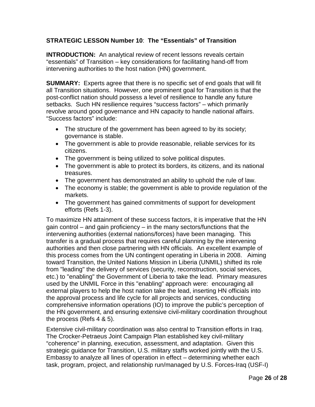#### <span id="page-26-0"></span>**STRATEGIC LESSON Number 10**: **The "Essentials" of Transition**

**INTRODUCTION:** An analytical review of recent lessons reveals certain "essentials" of Transition – key considerations for facilitating hand-off from intervening authorities to the host nation (HN) government.

**SUMMARY:** Experts agree that there is no specific set of end goals that will fit all Transition situations. However, one prominent goal for Transition is that the post-conflict nation should possess a level of resilience to handle any future setbacks. Such HN resilience requires "success factors" – which primarily revolve around good governance and HN capacity to handle national affairs. "Success factors" include:

- The structure of the government has been agreed to by its society; governance is stable.
- The government is able to provide reasonable, reliable services for its citizens.
- The government is being utilized to solve political disputes.
- The government is able to protect its borders, its citizens, and its national treasures.
- The government has demonstrated an ability to uphold the rule of law.
- The economy is stable; the government is able to provide regulation of the markets.
- The government has gained commitments of support for development efforts (Refs 1-3).

To maximize HN attainment of these success factors, it is imperative that the HN gain control – and gain proficiency – in the many sectors/functions that the intervening authorities (external nations/forces) have been managing. This transfer is a gradual process that requires careful planning by the intervening authorities and then close partnering with HN officials. An excellent example of this process comes from the UN contingent operating in Liberia in 2008. Aiming toward Transition, the United Nations Mission in Liberia (UNMIL) shifted its role from "leading" the delivery of services (security, reconstruction, social services, etc.) to "enabling" the Government of Liberia to take the lead. Primary measures used by the UNMIL Force in this "enabling" approach were: encouraging all external players to help the host nation take the lead, inserting HN officials into the approval process and life cycle for all projects and services, conducting comprehensive information operations (IO) to improve the public's perception of the HN government, and ensuring extensive civil-military coordination throughout the process (Refs 4 & 5).

Extensive civil-military coordination was also central to Transition efforts in Iraq. The Crocker-Petraeus Joint Campaign Plan established key civil-military "coherence" in planning, execution, assessment, and adaptation. Given this strategic guidance for Transition, U.S. military staffs worked jointly with the U.S. Embassy to analyze all lines of operation in effect – determining whether each task, program, project, and relationship run/managed by U.S. Forces-Iraq (USF-I)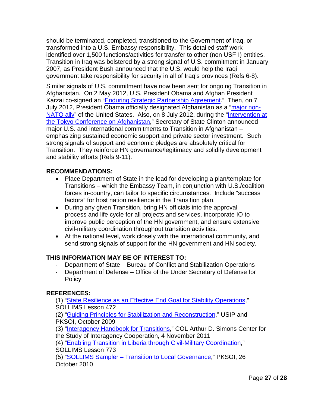should be terminated, completed, transitioned to the Government of Iraq, or transformed into a U.S. Embassy responsibility. This detailed staff work identified over 1,500 functions/activities for transfer to other (non USF-I) entities. Transition in Iraq was bolstered by a strong signal of U.S. commitment in January 2007, as President Bush announced that the U.S. would help the Iraqi government take responsibility for security in all of Iraq's provinces (Refs 6-8).

Similar signals of U.S. commitment have now been sent for ongoing Transition in Afghanistan. On 2 May 2012, U.S. President Obama and Afghan President Karzai co-signed an ["Enduring Strategic Partnership Agreement.](https://pksoi.org/document_repository/doc_lib/050112-afghanistan-security-pact.pdf)" Then, on 7 July 2012, President Obama officially designated Afghanistan as a ["major non-](https://www.pksoi.org/document_repository/doc_lib/Remarks_With_Afghan_President_Hamid_Karzai_(7-Jul-12).pdf)[NATO ally"](https://www.pksoi.org/document_repository/doc_lib/Remarks_With_Afghan_President_Hamid_Karzai_(7-Jul-12).pdf) of the United States. Also, on 8 July 2012, during the "Intervention at [the Tokyo Conference on Afghanistan,](https://www.pksoi.org/document_repository/doc_lib/Intervention_at_the_Tokyo_Conference_on_Afghanistan_SecState_(8-Jul-12).pdf)" Secretary of State Clinton announced major U.S. and international commitments to Transition in Afghanistan – emphasizing sustained economic support and private sector investment. Such strong signals of support and economic pledges are absolutely critical for Transition. They reinforce HN governance/legitimacy and solidify development and stability efforts (Refs 9-11).

#### **RECOMMENDATIONS:**

- Place Department of State in the lead for developing a plan/template for Transitions – which the Embassy Team, in conjunction with U.S./coalition forces in-country, can tailor to specific circumstances. Include "success factors" for host nation resilience in the Transition plan.
- During any given Transition, bring HN officials into the approval process and life cycle for all projects and services, incorporate IO to improve public perception of the HN government, and ensure extensive civil-military coordination throughout transition activities.
- At the national level, work closely with the international community, and send strong signals of support for the HN government and HN society.

#### **THIS INFORMATION MAY BE OF INTEREST TO:**

- Department of State Bureau of Conflict and Stabilization Operations
- Department of Defense Office of the Under Secretary of Defense for Policy

#### **REFERENCES:**

(1) ["State Resilience as an Effective End Goal for Stability Operations,](https://www.pksoi.org/index.cfm?disp=lms.cfm&doit=view&lmsid=472)" SOLLIMS Lesson 472

(2) ["Guiding Principles for Stabilization and Reconstruction,](https://www.pksoi.org/document_repository/doc_lib/USIP-PKSOI_Guiding_Principles_Oct_2009.pdf)" USIP and PKSOI, October 2009

(3) ["Interagency Handbook for Transitions,](http://thesimonscenter.org/wp-content/uploads/2011/11/TransitionHandbook-webversion.pdf)" COL Arthur D. Simons Center for the Study of Interagency Cooperation, 4 November 2011

(4) ["Enabling Transition in Liberia through Civil-Military Coordination,](https://www.pksoi.org/index.cfm?disp=lms.cfm&doit=view&lmsid=773)"

SOLLIMS Lesson 773

(5) "SOLLIMS Sampler – [Transition to Local Governance,](https://www.pksoi.org/document_repository/doc_lib/SOLLIMS%20Sampler%20Transition%2026Oct10.pdf)" PKSOI, 26 October 2010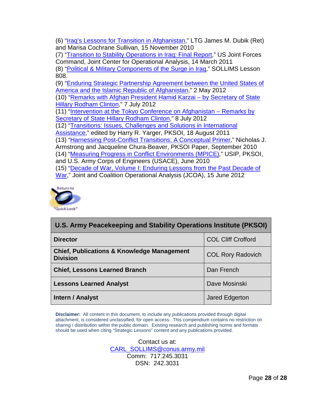(6) ["Iraq's Lessons for Transition in Afghanistan,](https://www.pksoi.org/document_repository/doc_lib/Iraqs_Lessons_for_Transition_in_Afghanistan_(15-Nov-10).pdf)" LTG James M. Dubik (Ret) and Marisa Cochrane Sullivan, 15 November 2010 (7) ["Transition to Stability Operations in Iraq: Final Report,](https://www.pksoi.org/document_repository/Report/TSO_Iraq_report_U_14Mar2011-CDR-450.pdf)" US Joint Forces Command, Joint Center for Operational Analysis, 14 March 2011 (8) ["Political & Military Components of the Surge in Iraq,](https://www.pksoi.org/index.cfm?disp=lms.cfm&doit=view&lmsid=808)" SOLLIMS Lesson 808. (9) ["Enduring Strategic Partnership Agreement between the United States of](https://pksoi.org/document_repository/doc_lib/050112-afghanistan-security-pact.pdf)  [America and the Islamic Republic of Afghanistan,](https://pksoi.org/document_repository/doc_lib/050112-afghanistan-security-pact.pdf)" 2 May 2012 (10) ["Remarks with Afghan President Hamid Karzai –](https://www.pksoi.org/document_repository/doc_lib/Remarks_With_Afghan_President_Hamid_Karzai_(7-Jul-12).pdf) by Secretary of State [Hillary Rodham Clinton,](https://www.pksoi.org/document_repository/doc_lib/Remarks_With_Afghan_President_Hamid_Karzai_(7-Jul-12).pdf)" 7 July 2012 (11) ["Intervention at the Tokyo Conference on Afghanistan –](https://www.pksoi.org/document_repository/doc_lib/Intervention_at_the_Tokyo_Conference_on_Afghanistan_SecState_(8-Jul-12).pdf) Remarks by [Secretary of State Hillary Rodham Clinton,](https://www.pksoi.org/document_repository/doc_lib/Intervention_at_the_Tokyo_Conference_on_Afghanistan_SecState_(8-Jul-12).pdf)" 8 July 2012 (12) ["Transitions: Issues, Challenges and Solutions in International](http://pksoi.army.mil/PKM/publications/collaborative/collaborativereview.cfm?collaborativeID=9)  [Assistance,](http://pksoi.army.mil/PKM/publications/collaborative/collaborativereview.cfm?collaborativeID=9)" edited by Harry R. Yarger, PKSOI, 18 August 2011 (13) ["Harnessing Post-Conflict Transitions: A Conceptual Primer,](https://www.pksoi.org/document_repository/doc_lib/PKSOI_Paper_Harnessing_Post-Conflict_Transitions_Sep_2010.pdf)" Nicholas J. Armstrong and Jacqueline Chura-Beaver, PKSOI Paper, September 2010 (14) ["Measuring Progress in Conflict Environments \(MPICE\),](https://www.pksoi.org/document_repository/doc_lib/FINAL%20MPICE%20wCover.pdf)" USIP, PKSOI, and U.S. Army Corps of Engineers (USACE), June 2010 (15) ["Decade of War, Volume I: Enduring Lessons from the Past Decade of](https://www.pksoi.org/document_repository/Report/DOW_report_Vol1_U-CDR-545.pdf)  [War,](https://www.pksoi.org/document_repository/Report/DOW_report_Vol1_U-CDR-545.pdf)" Joint and Coalition Operational Analysis (JCOA), 15 June 2012



| U.S. Army Peacekeeping and Stability Operations Institute (PKSOI)        |                           |
|--------------------------------------------------------------------------|---------------------------|
| <b>Director</b>                                                          | <b>COL Cliff Crofford</b> |
| <b>Chief, Publications &amp; Knowledge Management</b><br><b>Division</b> | <b>COL Rory Radovich</b>  |
| <b>Chief, Lessons Learned Branch</b>                                     | Dan French                |
| <b>Lessons Learned Analyst</b>                                           | Dave Mosinski             |
| Intern / Analyst                                                         | Jared Edgerton            |

**Disclaimer:** All content in this document, to include any publications provided through digital attachment, is considered unclassified, for open access. This compendium contains no restriction on sharing / distribution within the public domain. Existing research and publishing norms and formats should be used when citing "Strategic Lessons" content and any publications provided.

> Contact us at: [CARL\\_SOLLIMS@conus.army.mil](mailto:CARL_SOLLIMS@conus.army.mil) Comm: 717.245.3031 DSN: 242.3031